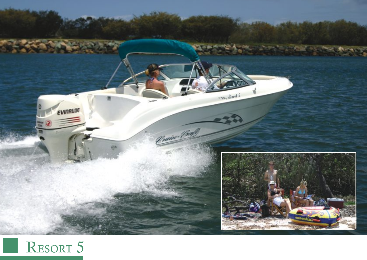